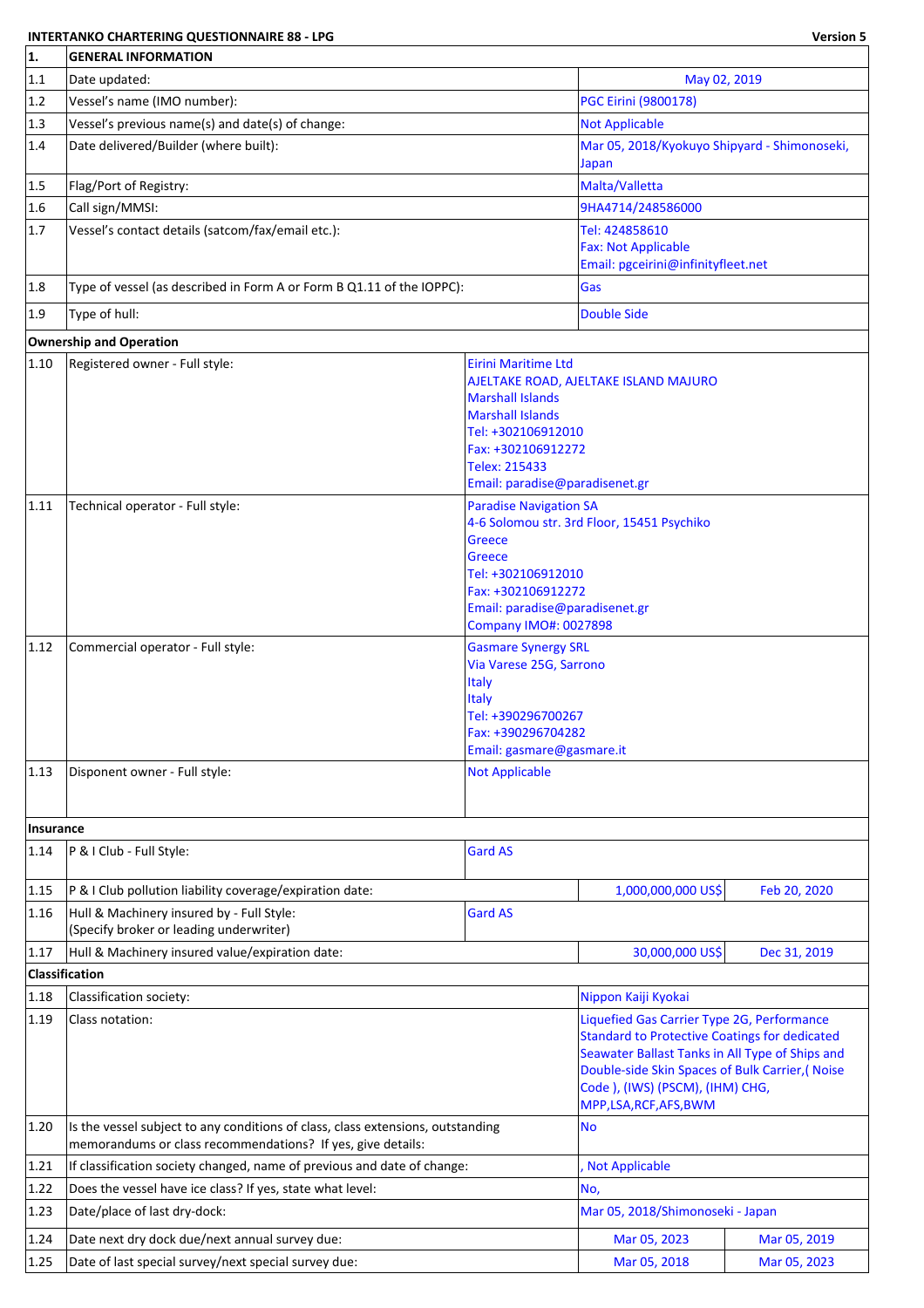## **INTERTANKO CHARTERING QUESTIONNAIRE 88 - LPG Version 5**

| 1.                | <b>GENERAL INFORMATION</b>                                                                                                                                                                                        |                                                                                                                                                   |                                                                                                                                                                                                                                                                     |                           |  |  |
|-------------------|-------------------------------------------------------------------------------------------------------------------------------------------------------------------------------------------------------------------|---------------------------------------------------------------------------------------------------------------------------------------------------|---------------------------------------------------------------------------------------------------------------------------------------------------------------------------------------------------------------------------------------------------------------------|---------------------------|--|--|
| 1.1               | Date updated:<br>May 02, 2019                                                                                                                                                                                     |                                                                                                                                                   |                                                                                                                                                                                                                                                                     |                           |  |  |
| 1.2               | Vessel's name (IMO number):                                                                                                                                                                                       | <b>PGC Eirini (9800178)</b>                                                                                                                       |                                                                                                                                                                                                                                                                     |                           |  |  |
| 1.3               | Vessel's previous name(s) and date(s) of change:                                                                                                                                                                  |                                                                                                                                                   | <b>Not Applicable</b>                                                                                                                                                                                                                                               |                           |  |  |
| 1.4               | Date delivered/Builder (where built):                                                                                                                                                                             |                                                                                                                                                   | Mar 05, 2018/Kyokuyo Shipyard - Shimonoseki,<br>Japan                                                                                                                                                                                                               |                           |  |  |
| 1.5               | Flag/Port of Registry:                                                                                                                                                                                            |                                                                                                                                                   | Malta/Valletta                                                                                                                                                                                                                                                      |                           |  |  |
| 1.6               | Call sign/MMSI:                                                                                                                                                                                                   |                                                                                                                                                   | 9HA4714/248586000                                                                                                                                                                                                                                                   |                           |  |  |
| 1.7               | Vessel's contact details (satcom/fax/email etc.):                                                                                                                                                                 |                                                                                                                                                   | Tel: 424858610<br><b>Fax: Not Applicable</b>                                                                                                                                                                                                                        |                           |  |  |
|                   |                                                                                                                                                                                                                   |                                                                                                                                                   | Email: pgceirini@infinityfleet.net                                                                                                                                                                                                                                  |                           |  |  |
| 1.8               | Type of vessel (as described in Form A or Form B Q1.11 of the IOPPC):                                                                                                                                             |                                                                                                                                                   | Gas                                                                                                                                                                                                                                                                 |                           |  |  |
| 1.9               | Type of hull:                                                                                                                                                                                                     |                                                                                                                                                   | <b>Double Side</b>                                                                                                                                                                                                                                                  |                           |  |  |
|                   | <b>Ownership and Operation</b>                                                                                                                                                                                    |                                                                                                                                                   |                                                                                                                                                                                                                                                                     |                           |  |  |
| 1.10              | Registered owner - Full style:                                                                                                                                                                                    | <b>Eirini Maritime Ltd</b><br>AJELTAKE ROAD, AJELTAKE ISLAND MAJURO<br>Tel: +302106912010<br>Fax: +302106912272<br>Email: paradise@paradisenet.gr |                                                                                                                                                                                                                                                                     |                           |  |  |
| 1.11              | Technical operator - Full style:<br><b>Paradise Navigation SA</b><br><b>Greece</b><br><b>Greece</b><br>Tel: +302106912010<br>Fax: +302106912272<br>Email: paradise@paradisenet.gr<br><b>Company IMO#: 0027898</b> |                                                                                                                                                   | 4-6 Solomou str. 3rd Floor, 15451 Psychiko                                                                                                                                                                                                                          |                           |  |  |
| $ 1.12\rangle$    | Commercial operator - Full style:                                                                                                                                                                                 | <b>Gasmare Synergy SRL</b><br>Via Varese 25G, Sarrono<br><b>Italy</b><br><b>Italy</b><br>Tel: +390296700267<br>Fax: +390296704282                 |                                                                                                                                                                                                                                                                     | Email: gasmare@gasmare.it |  |  |
| 1.13              | Disponent owner - Full style:                                                                                                                                                                                     | <b>Not Applicable</b>                                                                                                                             |                                                                                                                                                                                                                                                                     |                           |  |  |
|                   |                                                                                                                                                                                                                   |                                                                                                                                                   |                                                                                                                                                                                                                                                                     |                           |  |  |
| Insurance<br>1.14 | P & I Club - Full Style:                                                                                                                                                                                          | <b>Gard AS</b>                                                                                                                                    |                                                                                                                                                                                                                                                                     |                           |  |  |
|                   |                                                                                                                                                                                                                   |                                                                                                                                                   |                                                                                                                                                                                                                                                                     |                           |  |  |
| 1.15              | P & I Club pollution liability coverage/expiration date:                                                                                                                                                          |                                                                                                                                                   | 1,000,000,000 US\$                                                                                                                                                                                                                                                  | Feb 20, 2020              |  |  |
| 1.16              | Hull & Machinery insured by - Full Style:<br>(Specify broker or leading underwriter)                                                                                                                              | <b>Gard AS</b>                                                                                                                                    |                                                                                                                                                                                                                                                                     |                           |  |  |
| 1.17              | Hull & Machinery insured value/expiration date:                                                                                                                                                                   |                                                                                                                                                   | 30,000,000 US\$                                                                                                                                                                                                                                                     | Dec 31, 2019              |  |  |
|                   | <b>Classification</b>                                                                                                                                                                                             |                                                                                                                                                   |                                                                                                                                                                                                                                                                     |                           |  |  |
| 1.18              | Classification society:                                                                                                                                                                                           |                                                                                                                                                   | Nippon Kaiji Kyokai                                                                                                                                                                                                                                                 |                           |  |  |
| 1.19              | Class notation:                                                                                                                                                                                                   |                                                                                                                                                   | Liquefied Gas Carrier Type 2G, Performance<br><b>Standard to Protective Coatings for dedicated</b><br>Seawater Ballast Tanks in All Type of Ships and<br>Double-side Skin Spaces of Bulk Carrier, (Noise<br>Code ), (IWS) (PSCM), (IHM) CHG,<br>MPP,LSA,RCF,AFS,BWM |                           |  |  |
| 1.20              | Is the vessel subject to any conditions of class, class extensions, outstanding<br>memorandums or class recommendations? If yes, give details:                                                                    |                                                                                                                                                   | <b>No</b>                                                                                                                                                                                                                                                           |                           |  |  |
| 1.21              | If classification society changed, name of previous and date of change:                                                                                                                                           |                                                                                                                                                   | <b>Not Applicable</b>                                                                                                                                                                                                                                               |                           |  |  |
| 1.22              | Does the vessel have ice class? If yes, state what level:                                                                                                                                                         |                                                                                                                                                   | No,                                                                                                                                                                                                                                                                 |                           |  |  |
| 1.23              | Date/place of last dry-dock:                                                                                                                                                                                      |                                                                                                                                                   | Mar 05, 2018/Shimonoseki - Japan                                                                                                                                                                                                                                    |                           |  |  |
| 1.24              | Date next dry dock due/next annual survey due:                                                                                                                                                                    |                                                                                                                                                   | Mar 05, 2023                                                                                                                                                                                                                                                        | Mar 05, 2019              |  |  |
| 1.25              | Date of last special survey/next special survey due:                                                                                                                                                              |                                                                                                                                                   | Mar 05, 2018                                                                                                                                                                                                                                                        | Mar 05, 2023              |  |  |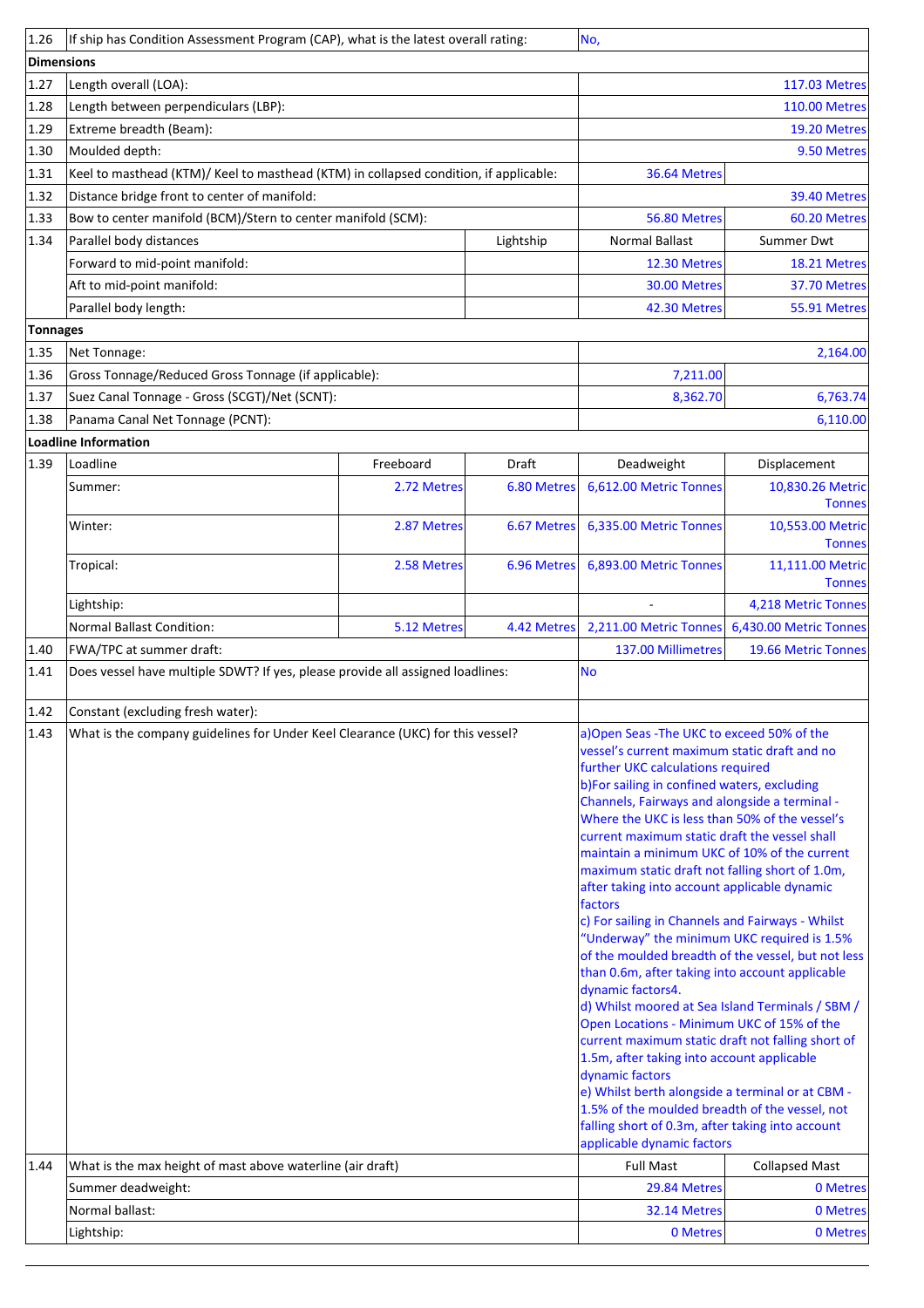| 1.26            | If ship has Condition Assessment Program (CAP), what is the latest overall rating:                    |             |             | No,                                                                                                                                                                                                                                                                                                                                                                                                                                                                                                                                                                                                                                                                                                                                                                                                                                                                                                                                                                                                                                                 |                                              |  |
|-----------------|-------------------------------------------------------------------------------------------------------|-------------|-------------|-----------------------------------------------------------------------------------------------------------------------------------------------------------------------------------------------------------------------------------------------------------------------------------------------------------------------------------------------------------------------------------------------------------------------------------------------------------------------------------------------------------------------------------------------------------------------------------------------------------------------------------------------------------------------------------------------------------------------------------------------------------------------------------------------------------------------------------------------------------------------------------------------------------------------------------------------------------------------------------------------------------------------------------------------------|----------------------------------------------|--|
| Dimensions      |                                                                                                       |             |             |                                                                                                                                                                                                                                                                                                                                                                                                                                                                                                                                                                                                                                                                                                                                                                                                                                                                                                                                                                                                                                                     |                                              |  |
| 1.27            | Length overall (LOA):                                                                                 |             |             | <b>117.03 Metres</b>                                                                                                                                                                                                                                                                                                                                                                                                                                                                                                                                                                                                                                                                                                                                                                                                                                                                                                                                                                                                                                |                                              |  |
| 1.28            | Length between perpendiculars (LBP):                                                                  |             |             |                                                                                                                                                                                                                                                                                                                                                                                                                                                                                                                                                                                                                                                                                                                                                                                                                                                                                                                                                                                                                                                     | <b>110.00 Metres</b>                         |  |
| 1.29            | Extreme breadth (Beam):                                                                               |             |             |                                                                                                                                                                                                                                                                                                                                                                                                                                                                                                                                                                                                                                                                                                                                                                                                                                                                                                                                                                                                                                                     | 19.20 Metres                                 |  |
| 1.30            | Moulded depth:                                                                                        |             |             |                                                                                                                                                                                                                                                                                                                                                                                                                                                                                                                                                                                                                                                                                                                                                                                                                                                                                                                                                                                                                                                     | 9.50 Metres                                  |  |
| 1.31            | Keel to masthead (KTM)/ Keel to masthead (KTM) in collapsed condition, if applicable:                 |             |             | 36.64 Metres                                                                                                                                                                                                                                                                                                                                                                                                                                                                                                                                                                                                                                                                                                                                                                                                                                                                                                                                                                                                                                        |                                              |  |
| 1.32            | Distance bridge front to center of manifold:                                                          |             |             |                                                                                                                                                                                                                                                                                                                                                                                                                                                                                                                                                                                                                                                                                                                                                                                                                                                                                                                                                                                                                                                     | 39.40 Metres                                 |  |
| 1.33            | Bow to center manifold (BCM)/Stern to center manifold (SCM):                                          |             |             | 56.80 Metres                                                                                                                                                                                                                                                                                                                                                                                                                                                                                                                                                                                                                                                                                                                                                                                                                                                                                                                                                                                                                                        | 60.20 Metres                                 |  |
| 1.34            | Parallel body distances                                                                               |             | Lightship   | <b>Normal Ballast</b>                                                                                                                                                                                                                                                                                                                                                                                                                                                                                                                                                                                                                                                                                                                                                                                                                                                                                                                                                                                                                               | <b>Summer Dwt</b>                            |  |
|                 | Forward to mid-point manifold:                                                                        |             |             | 12.30 Metres                                                                                                                                                                                                                                                                                                                                                                                                                                                                                                                                                                                                                                                                                                                                                                                                                                                                                                                                                                                                                                        | 18.21 Metres                                 |  |
|                 | Aft to mid-point manifold:                                                                            |             |             | 30.00 Metres                                                                                                                                                                                                                                                                                                                                                                                                                                                                                                                                                                                                                                                                                                                                                                                                                                                                                                                                                                                                                                        | 37.70 Metres                                 |  |
|                 | Parallel body length:                                                                                 |             |             | 42.30 Metres                                                                                                                                                                                                                                                                                                                                                                                                                                                                                                                                                                                                                                                                                                                                                                                                                                                                                                                                                                                                                                        | 55.91 Metres                                 |  |
| <b>Tonnages</b> |                                                                                                       |             |             |                                                                                                                                                                                                                                                                                                                                                                                                                                                                                                                                                                                                                                                                                                                                                                                                                                                                                                                                                                                                                                                     |                                              |  |
| 1.35            | Net Tonnage:                                                                                          |             |             |                                                                                                                                                                                                                                                                                                                                                                                                                                                                                                                                                                                                                                                                                                                                                                                                                                                                                                                                                                                                                                                     | 2,164.00                                     |  |
| 1.36            | Gross Tonnage/Reduced Gross Tonnage (if applicable):<br>Suez Canal Tonnage - Gross (SCGT)/Net (SCNT): |             |             | 7,211.00                                                                                                                                                                                                                                                                                                                                                                                                                                                                                                                                                                                                                                                                                                                                                                                                                                                                                                                                                                                                                                            |                                              |  |
| 1.37<br>1.38    | Panama Canal Net Tonnage (PCNT):                                                                      |             |             | 8,362.70                                                                                                                                                                                                                                                                                                                                                                                                                                                                                                                                                                                                                                                                                                                                                                                                                                                                                                                                                                                                                                            | 6,763.74                                     |  |
|                 | Loadline Information                                                                                  |             |             |                                                                                                                                                                                                                                                                                                                                                                                                                                                                                                                                                                                                                                                                                                                                                                                                                                                                                                                                                                                                                                                     | 6,110.00                                     |  |
| 1.39            | Loadline                                                                                              | Freeboard   | Draft       | Deadweight                                                                                                                                                                                                                                                                                                                                                                                                                                                                                                                                                                                                                                                                                                                                                                                                                                                                                                                                                                                                                                          | Displacement                                 |  |
|                 | Summer:                                                                                               | 2.72 Metres | 6.80 Metres | 6,612.00 Metric Tonnes                                                                                                                                                                                                                                                                                                                                                                                                                                                                                                                                                                                                                                                                                                                                                                                                                                                                                                                                                                                                                              | 10,830.26 Metric                             |  |
|                 |                                                                                                       |             |             |                                                                                                                                                                                                                                                                                                                                                                                                                                                                                                                                                                                                                                                                                                                                                                                                                                                                                                                                                                                                                                                     | <b>Tonnes</b>                                |  |
|                 | Winter:                                                                                               | 2.87 Metres | 6.67 Metres | 6,335.00 Metric Tonnes                                                                                                                                                                                                                                                                                                                                                                                                                                                                                                                                                                                                                                                                                                                                                                                                                                                                                                                                                                                                                              | 10,553.00 Metric<br><b>Tonnes</b>            |  |
|                 | Tropical:                                                                                             | 2.58 Metres | 6.96 Metres | 6,893.00 Metric Tonnes                                                                                                                                                                                                                                                                                                                                                                                                                                                                                                                                                                                                                                                                                                                                                                                                                                                                                                                                                                                                                              | 11,111.00 Metric<br><b>Tonnes</b>            |  |
|                 | Lightship:                                                                                            |             |             |                                                                                                                                                                                                                                                                                                                                                                                                                                                                                                                                                                                                                                                                                                                                                                                                                                                                                                                                                                                                                                                     | 4,218 Metric Tonnes                          |  |
|                 | <b>Normal Ballast Condition:</b>                                                                      | 5.12 Metres | 4.42 Metres | 2,211.00 Metric Tonnes                                                                                                                                                                                                                                                                                                                                                                                                                                                                                                                                                                                                                                                                                                                                                                                                                                                                                                                                                                                                                              | 6,430.00 Metric Tonnes                       |  |
| 1.40            | FWA/TPC at summer draft:                                                                              |             |             | 137.00 Millimetres                                                                                                                                                                                                                                                                                                                                                                                                                                                                                                                                                                                                                                                                                                                                                                                                                                                                                                                                                                                                                                  | 19.66 Metric Tonnes                          |  |
| 1.41            | Does vessel have multiple SDWT? If yes, please provide all assigned loadlines:                        |             |             | <b>No</b>                                                                                                                                                                                                                                                                                                                                                                                                                                                                                                                                                                                                                                                                                                                                                                                                                                                                                                                                                                                                                                           |                                              |  |
| 1.42            | Constant (excluding fresh water):                                                                     |             |             |                                                                                                                                                                                                                                                                                                                                                                                                                                                                                                                                                                                                                                                                                                                                                                                                                                                                                                                                                                                                                                                     |                                              |  |
| 1.43            | What is the company guidelines for Under Keel Clearance (UKC) for this vessel?                        |             |             | a) Open Seas - The UKC to exceed 50% of the                                                                                                                                                                                                                                                                                                                                                                                                                                                                                                                                                                                                                                                                                                                                                                                                                                                                                                                                                                                                         |                                              |  |
|                 |                                                                                                       |             |             | further UKC calculations required<br>b)For sailing in confined waters, excluding<br>Channels, Fairways and alongside a terminal -<br>Where the UKC is less than 50% of the vessel's<br>current maximum static draft the vessel shall<br>maintain a minimum UKC of 10% of the current<br>maximum static draft not falling short of 1.0m,<br>after taking into account applicable dynamic<br>factors<br>c) For sailing in Channels and Fairways - Whilst<br>"Underway" the minimum UKC required is 1.5%<br>of the moulded breadth of the vessel, but not less<br>than 0.6m, after taking into account applicable<br>dynamic factors4.<br>d) Whilst moored at Sea Island Terminals / SBM /<br>Open Locations - Minimum UKC of 15% of the<br>current maximum static draft not falling short of<br>1.5m, after taking into account applicable<br>dynamic factors<br>e) Whilst berth alongside a terminal or at CBM -<br>1.5% of the moulded breadth of the vessel, not<br>falling short of 0.3m, after taking into account<br>applicable dynamic factors | vessel's current maximum static draft and no |  |
| 1.44            | What is the max height of mast above waterline (air draft)                                            |             |             | <b>Full Mast</b>                                                                                                                                                                                                                                                                                                                                                                                                                                                                                                                                                                                                                                                                                                                                                                                                                                                                                                                                                                                                                                    | <b>Collapsed Mast</b>                        |  |
|                 | Summer deadweight:                                                                                    |             |             | 29.84 Metres                                                                                                                                                                                                                                                                                                                                                                                                                                                                                                                                                                                                                                                                                                                                                                                                                                                                                                                                                                                                                                        | 0 Metres                                     |  |
|                 | Normal ballast:<br>Lightship:                                                                         |             |             | 32.14 Metres<br>0 Metres                                                                                                                                                                                                                                                                                                                                                                                                                                                                                                                                                                                                                                                                                                                                                                                                                                                                                                                                                                                                                            | 0 Metres<br>0 Metres                         |  |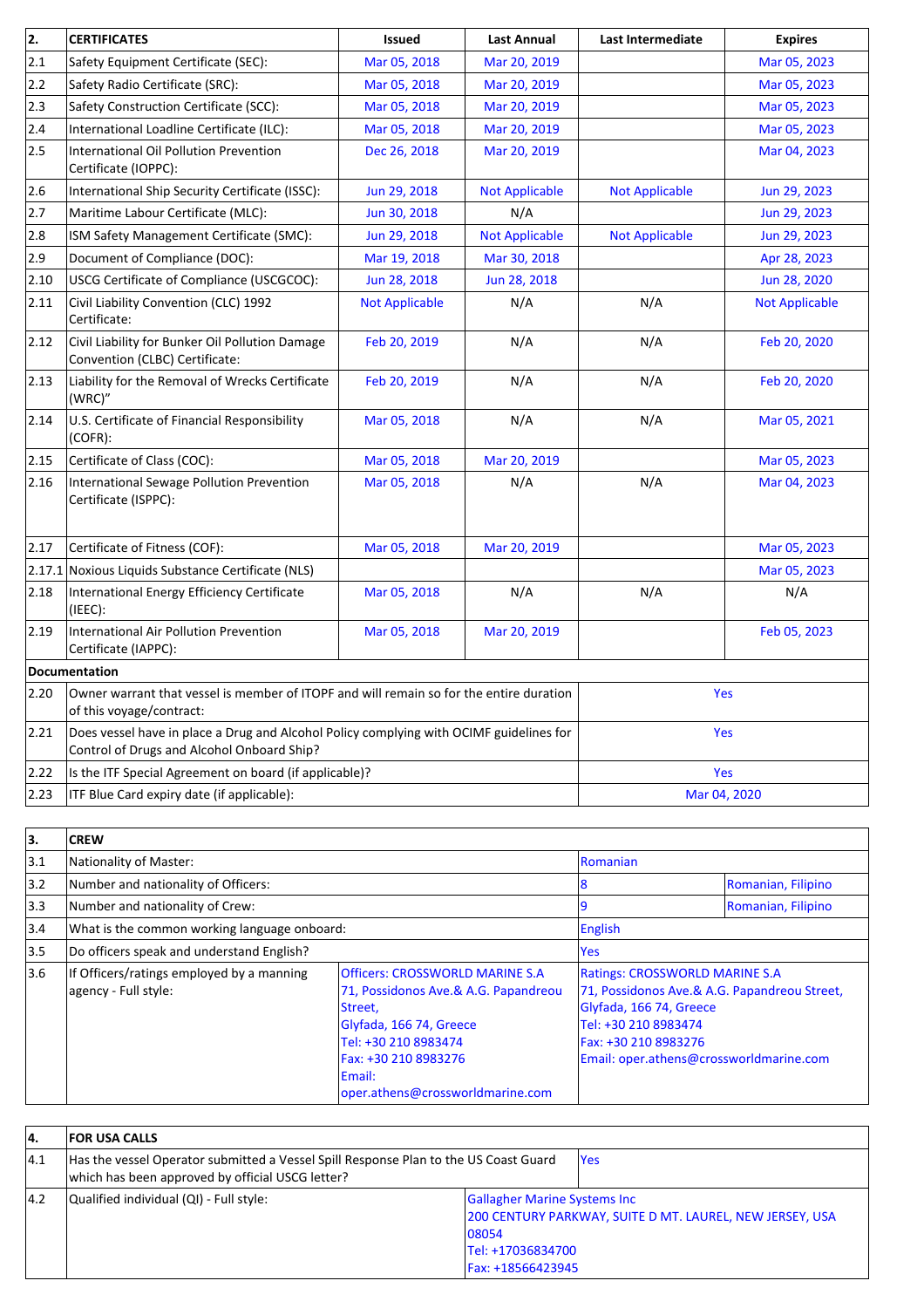| 2.   | <b>CERTIFICATES</b>                                                                                                                   | <b>Issued</b>         | <b>Last Annual</b>    | <b>Last Intermediate</b> | <b>Expires</b>        |
|------|---------------------------------------------------------------------------------------------------------------------------------------|-----------------------|-----------------------|--------------------------|-----------------------|
| 2.1  | Safety Equipment Certificate (SEC):                                                                                                   | Mar 05, 2018          | Mar 20, 2019          |                          | Mar 05, 2023          |
| 2.2  | Safety Radio Certificate (SRC):                                                                                                       | Mar 05, 2018          | Mar 20, 2019          |                          | Mar 05, 2023          |
| 2.3  | Safety Construction Certificate (SCC):                                                                                                | Mar 05, 2018          | Mar 20, 2019          |                          | Mar 05, 2023          |
| 2.4  | International Loadline Certificate (ILC):                                                                                             | Mar 05, 2018          | Mar 20, 2019          |                          | Mar 05, 2023          |
| 2.5  | International Oil Pollution Prevention<br>Certificate (IOPPC):                                                                        | Dec 26, 2018          | Mar 20, 2019          |                          | Mar 04, 2023          |
| 2.6  | International Ship Security Certificate (ISSC):                                                                                       | Jun 29, 2018          | <b>Not Applicable</b> | <b>Not Applicable</b>    | Jun 29, 2023          |
| 2.7  | Maritime Labour Certificate (MLC):                                                                                                    | Jun 30, 2018          | N/A                   |                          | Jun 29, 2023          |
| 2.8  | ISM Safety Management Certificate (SMC):                                                                                              | Jun 29, 2018          | <b>Not Applicable</b> | <b>Not Applicable</b>    | Jun 29, 2023          |
| 2.9  | Document of Compliance (DOC):                                                                                                         | Mar 19, 2018          | Mar 30, 2018          |                          | Apr 28, 2023          |
| 2.10 | USCG Certificate of Compliance (USCGCOC):                                                                                             | Jun 28, 2018          | Jun 28, 2018          |                          | Jun 28, 2020          |
| 2.11 | Civil Liability Convention (CLC) 1992<br>Certificate:                                                                                 | <b>Not Applicable</b> | N/A                   | N/A                      | <b>Not Applicable</b> |
| 2.12 | Civil Liability for Bunker Oil Pollution Damage<br>Convention (CLBC) Certificate:                                                     | Feb 20, 2019          | N/A                   | N/A                      | Feb 20, 2020          |
| 2.13 | Liability for the Removal of Wrecks Certificate<br>(WRC)"                                                                             | Feb 20, 2019          | N/A                   | N/A                      | Feb 20, 2020          |
| 2.14 | U.S. Certificate of Financial Responsibility<br>(COFR):                                                                               | Mar 05, 2018          | N/A                   | N/A                      | Mar 05, 2021          |
| 2.15 | Certificate of Class (COC):                                                                                                           | Mar 05, 2018          | Mar 20, 2019          |                          | Mar 05, 2023          |
| 2.16 | International Sewage Pollution Prevention<br>Certificate (ISPPC):                                                                     | Mar 05, 2018          | N/A                   | N/A                      | Mar 04, 2023          |
| 2.17 | Certificate of Fitness (COF):                                                                                                         | Mar 05, 2018          | Mar 20, 2019          |                          | Mar 05, 2023          |
|      | 2.17.1 Noxious Liquids Substance Certificate (NLS)                                                                                    |                       |                       |                          | Mar 05, 2023          |
| 2.18 | International Energy Efficiency Certificate<br>(IEEC):                                                                                | Mar 05, 2018          | N/A                   | N/A                      | N/A                   |
| 2.19 | International Air Pollution Prevention<br>Certificate (IAPPC):                                                                        | Mar 05, 2018          | Mar 20, 2019          |                          | Feb 05, 2023          |
|      | <b>Documentation</b>                                                                                                                  |                       |                       |                          |                       |
| 2.20 | Owner warrant that vessel is member of ITOPF and will remain so for the entire duration<br>of this voyage/contract:                   |                       |                       | Yes                      |                       |
| 2.21 | Does vessel have in place a Drug and Alcohol Policy complying with OCIMF guidelines for<br>Control of Drugs and Alcohol Onboard Ship? |                       |                       | Yes                      |                       |
| 2.22 | Is the ITF Special Agreement on board (if applicable)?                                                                                |                       |                       | Yes                      |                       |
| 2.23 | ITF Blue Card expiry date (if applicable):                                                                                            |                       | Mar 04, 2020          |                          |                       |

| lз.           | <b>CREW</b>                                                       |                                                                                                                                                                                                                           |                                                                                                                                                                                                             |                    |
|---------------|-------------------------------------------------------------------|---------------------------------------------------------------------------------------------------------------------------------------------------------------------------------------------------------------------------|-------------------------------------------------------------------------------------------------------------------------------------------------------------------------------------------------------------|--------------------|
| 3.1           | Nationality of Master:                                            |                                                                                                                                                                                                                           | <b>Romanian</b>                                                                                                                                                                                             |                    |
| 3.2           | Number and nationality of Officers:                               |                                                                                                                                                                                                                           | 18                                                                                                                                                                                                          | Romanian, Filipino |
| $ 3.3\rangle$ | Number and nationality of Crew:                                   |                                                                                                                                                                                                                           |                                                                                                                                                                                                             | Romanian, Filipino |
| 3.4           | What is the common working language onboard:                      |                                                                                                                                                                                                                           | <b>English</b>                                                                                                                                                                                              |                    |
| 3.5           | Do officers speak and understand English?                         |                                                                                                                                                                                                                           | <b>Yes</b>                                                                                                                                                                                                  |                    |
| 3.6           | If Officers/ratings employed by a manning<br>agency - Full style: | <b>Officers: CROSSWORLD MARINE S.A</b><br>71, Possidonos Ave.& A.G. Papandreou<br>Street,<br>Glyfada, 166 74, Greece<br>Tel: +30 210 8983474<br>Fax: +30 210 8983276<br><b>Email:</b><br>oper.athens@crossworldmarine.com | <b>Ratings: CROSSWORLD MARINE S.A</b><br>71, Possidonos Ave.& A.G. Papandreou Street,<br>Glyfada, 166 74, Greece<br>Tel: +30 210 8983474<br>Fax: +30 210 8983276<br>Email: oper.athens@crossworldmarine.com |                    |

| 14.           | <b>FOR USA CALLS</b>                                                                                                                     |                                                                                                                                                     |      |
|---------------|------------------------------------------------------------------------------------------------------------------------------------------|-----------------------------------------------------------------------------------------------------------------------------------------------------|------|
| 4.1           | Has the vessel Operator submitted a Vessel Spill Response Plan to the US Coast Guard<br>which has been approved by official USCG letter? |                                                                                                                                                     | lYes |
| $ 4.2\rangle$ | Qualified individual (QI) - Full style:                                                                                                  | <b>Gallagher Marine Systems Inc.</b><br>200 CENTURY PARKWAY, SUITE D MT. LAUREL, NEW JERSEY, USA<br>08054<br>Tel: +17036834700<br>Fax: +18566423945 |      |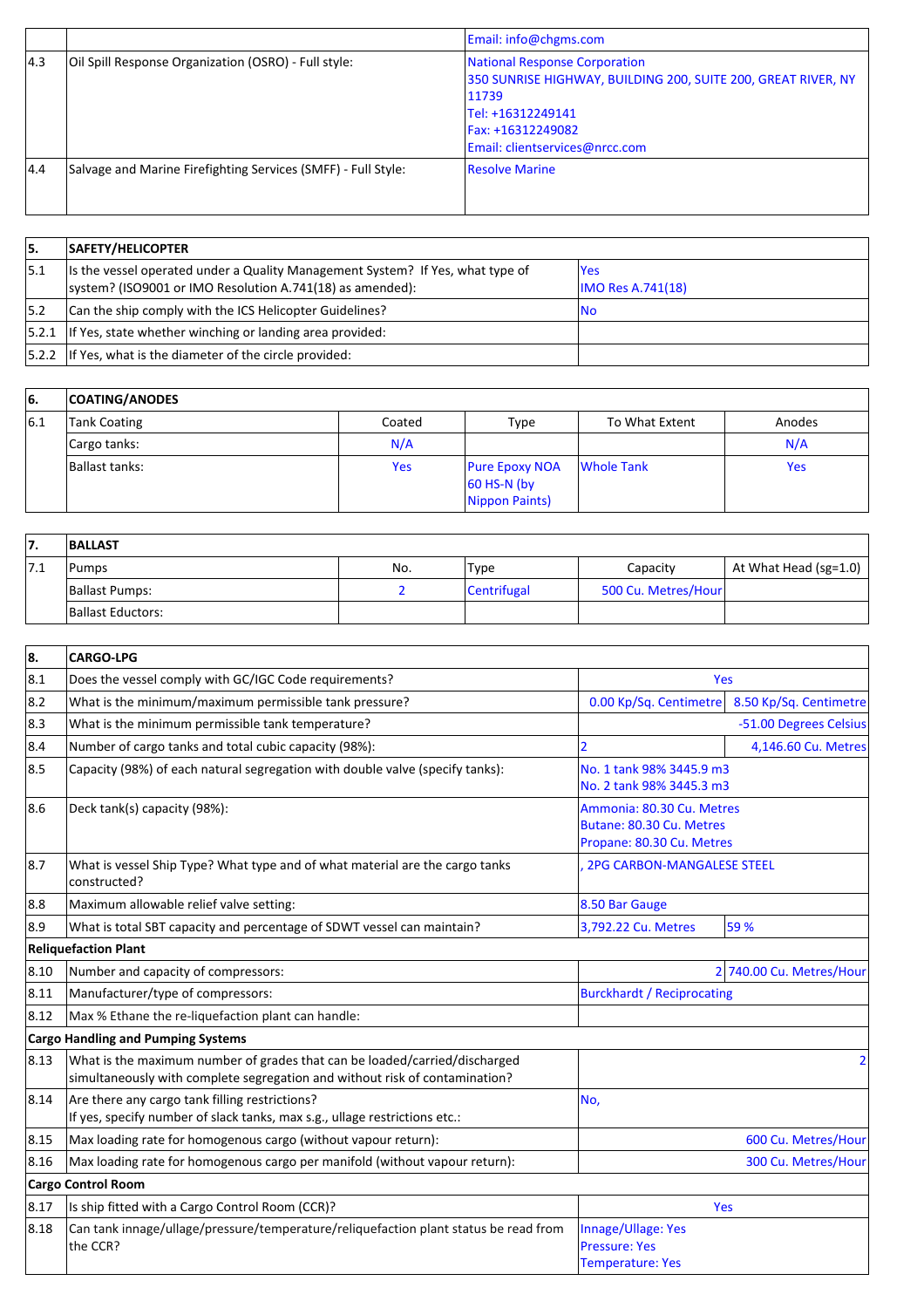|      |                                                               | Email: info@chgms.com                                                                                                                                                                      |
|------|---------------------------------------------------------------|--------------------------------------------------------------------------------------------------------------------------------------------------------------------------------------------|
| 14.3 | Oil Spill Response Organization (OSRO) - Full style:          | <b>National Response Corporation</b><br>350 SUNRISE HIGHWAY, BUILDING 200, SUITE 200, GREAT RIVER, NY<br>11739<br>Tel: +16312249141<br>Fax: +16312249082<br>Email: clientservices@nrcc.com |
| 4.4  | Salvage and Marine Firefighting Services (SMFF) - Full Style: | <b>Resolve Marine</b>                                                                                                                                                                      |

| 15.  | <b>SAFETY/HELICOPTER</b>                                                                                                                     |                                        |
|------|----------------------------------------------------------------------------------------------------------------------------------------------|----------------------------------------|
| 15.1 | Its the vessel operated under a Quality Management System? If Yes, what type of<br>system? (ISO9001 or IMO Resolution A.741(18) as amended): | <b>Yes</b><br><b>IMO Res A.741(18)</b> |
| 5.2  | Can the ship comply with the ICS Helicopter Guidelines?                                                                                      | IN0                                    |
|      | $ 5.2.1 $ If Yes, state whether winching or landing area provided:                                                                           |                                        |
|      | $ 5.2.2 $ If Yes, what is the diameter of the circle provided:                                                                               |                                        |

| 16. | <b>COATING/ANODES</b> |            |                                                          |                   |            |
|-----|-----------------------|------------|----------------------------------------------------------|-------------------|------------|
| 6.1 | Tank Coating          | Coated     | <b>Type</b>                                              | To What Extent    | Anodes     |
|     | Cargo tanks:          | N/A        |                                                          |                   | N/A        |
|     | Ballast tanks:        | <b>Yes</b> | <b>Pure Epoxy NOA</b><br>$60$ HS-N (by<br>Nippon Paints) | <b>Whole Tank</b> | <b>Yes</b> |

| ,,  | <b>BALLAST</b>    |     |                    |                     |                           |
|-----|-------------------|-----|--------------------|---------------------|---------------------------|
| 7.1 | Pumps             | No. | 'Type              | Capacity            | At What Head (sg=1.0) $ $ |
|     | Ballast Pumps:    |     | <b>Centrifugal</b> | 500 Cu. Metres/Hour |                           |
|     | Ballast Eductors: |     |                    |                     |                           |

| 8.   | <b>CARGO-LPG</b>                                                                                                                                          |                                                                                    |                          |  |  |
|------|-----------------------------------------------------------------------------------------------------------------------------------------------------------|------------------------------------------------------------------------------------|--------------------------|--|--|
| 8.1  | Does the vessel comply with GC/IGC Code requirements?                                                                                                     | <b>Yes</b>                                                                         |                          |  |  |
| 8.2  | What is the minimum/maximum permissible tank pressure?                                                                                                    | 0.00 Kp/Sq. Centimetre                                                             | 8.50 Kp/Sq. Centimetre   |  |  |
| 8.3  | What is the minimum permissible tank temperature?                                                                                                         |                                                                                    | -51.00 Degrees Celsius   |  |  |
| 8.4  | Number of cargo tanks and total cubic capacity (98%):                                                                                                     |                                                                                    | 4,146.60 Cu. Metres      |  |  |
| 8.5  | Capacity (98%) of each natural segregation with double valve (specify tanks):                                                                             | No. 1 tank 98% 3445.9 m3<br>No. 2 tank 98% 3445.3 m3                               |                          |  |  |
| 8.6  | Deck tank(s) capacity (98%):                                                                                                                              | Ammonia: 80.30 Cu. Metres<br>Butane: 80.30 Cu. Metres<br>Propane: 80.30 Cu. Metres |                          |  |  |
| 8.7  | What is vessel Ship Type? What type and of what material are the cargo tanks<br>constructed?                                                              | <b>2PG CARBON-MANGALESE STEEL</b>                                                  |                          |  |  |
| 8.8  | Maximum allowable relief valve setting:                                                                                                                   | 8.50 Bar Gauge                                                                     |                          |  |  |
| 8.9  | What is total SBT capacity and percentage of SDWT vessel can maintain?                                                                                    | 59 %<br>3,792.22 Cu. Metres                                                        |                          |  |  |
|      | <b>Reliquefaction Plant</b>                                                                                                                               |                                                                                    |                          |  |  |
| 8.10 | Number and capacity of compressors:                                                                                                                       |                                                                                    | 2 740.00 Cu. Metres/Hour |  |  |
| 8.11 | Manufacturer/type of compressors:                                                                                                                         | <b>Burckhardt / Reciprocating</b>                                                  |                          |  |  |
| 8.12 | Max % Ethane the re-liquefaction plant can handle:                                                                                                        |                                                                                    |                          |  |  |
|      | <b>Cargo Handling and Pumping Systems</b>                                                                                                                 |                                                                                    |                          |  |  |
| 8.13 | What is the maximum number of grades that can be loaded/carried/discharged<br>simultaneously with complete segregation and without risk of contamination? |                                                                                    | 2                        |  |  |
| 8.14 | Are there any cargo tank filling restrictions?<br>If yes, specify number of slack tanks, max s.g., ullage restrictions etc.:                              | No,                                                                                |                          |  |  |
| 8.15 | Max loading rate for homogenous cargo (without vapour return):                                                                                            |                                                                                    | 600 Cu. Metres/Hour      |  |  |
| 8.16 | Max loading rate for homogenous cargo per manifold (without vapour return):                                                                               | 300 Cu. Metres/Hour                                                                |                          |  |  |
|      | <b>Cargo Control Room</b>                                                                                                                                 |                                                                                    |                          |  |  |
| 8.17 | Is ship fitted with a Cargo Control Room (CCR)?                                                                                                           | Yes                                                                                |                          |  |  |
| 8.18 | Can tank innage/ullage/pressure/temperature/reliquefaction plant status be read from<br>the CCR?                                                          | Innage/Ullage: Yes<br><b>Pressure: Yes</b><br><b>Temperature: Yes</b>              |                          |  |  |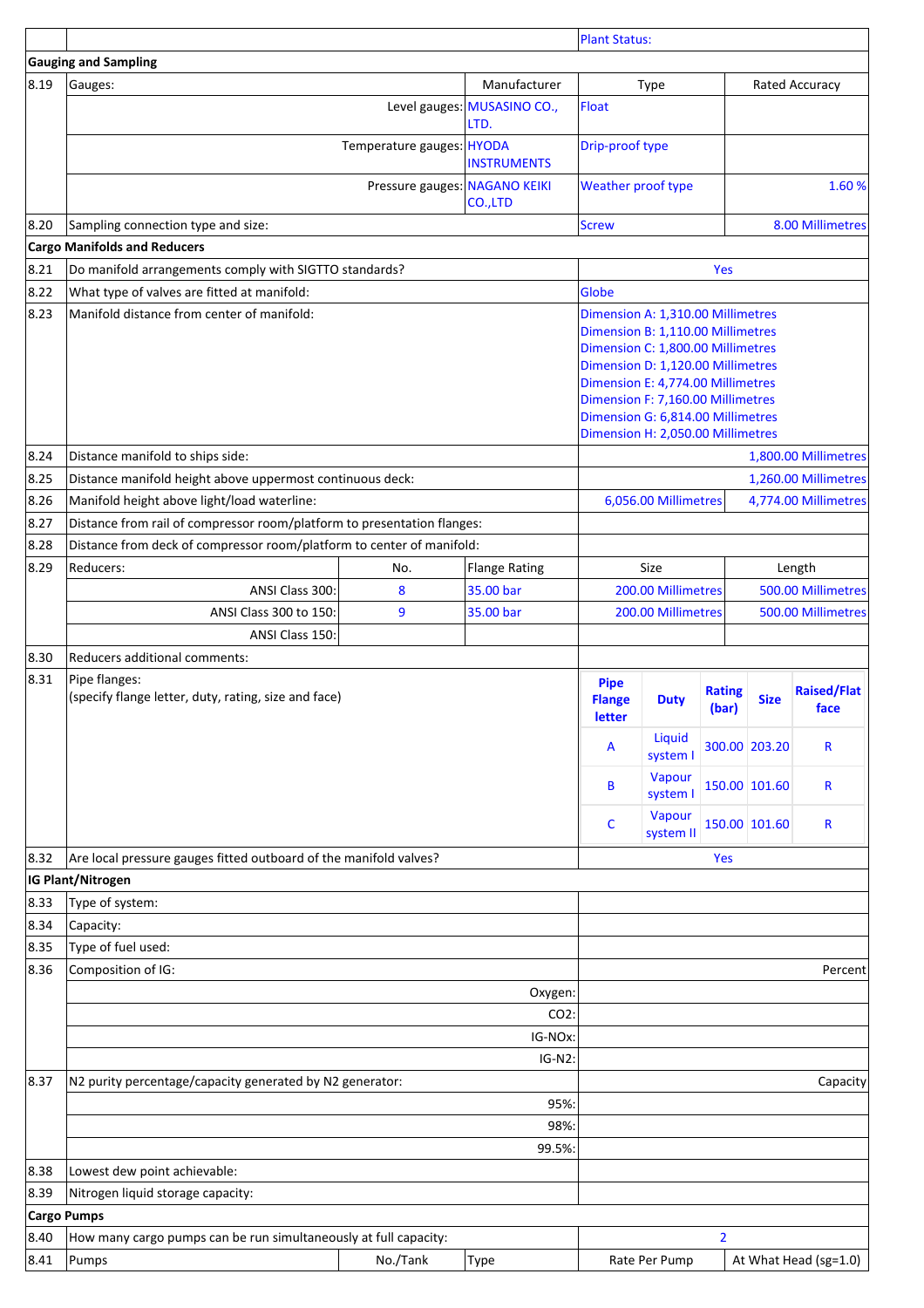|                    |                                                                         |                               |                                     | <b>Plant Status:</b>                   |                                                                                                                                                                                                                                                                                                      |                        |               |                            |
|--------------------|-------------------------------------------------------------------------|-------------------------------|-------------------------------------|----------------------------------------|------------------------------------------------------------------------------------------------------------------------------------------------------------------------------------------------------------------------------------------------------------------------------------------------------|------------------------|---------------|----------------------------|
|                    | <b>Gauging and Sampling</b>                                             |                               |                                     |                                        |                                                                                                                                                                                                                                                                                                      |                        |               |                            |
| 8.19               | Gauges:                                                                 |                               | Manufacturer                        |                                        | Type                                                                                                                                                                                                                                                                                                 |                        |               | Rated Accuracy             |
|                    |                                                                         |                               | Level gauges: MUSASINO CO.,<br>LTD. | Float                                  |                                                                                                                                                                                                                                                                                                      |                        |               |                            |
|                    |                                                                         | Temperature gauges: HYODA     | <b>INSTRUMENTS</b>                  |                                        | Drip-proof type                                                                                                                                                                                                                                                                                      |                        |               |                            |
|                    |                                                                         | Pressure gauges: NAGANO KEIKI | CO.,LTD                             |                                        | Weather proof type                                                                                                                                                                                                                                                                                   |                        | 1.60%         |                            |
| 8.20               | Sampling connection type and size:                                      |                               |                                     | <b>Screw</b>                           |                                                                                                                                                                                                                                                                                                      |                        |               | 8.00 Millimetres           |
|                    | <b>Cargo Manifolds and Reducers</b>                                     |                               |                                     |                                        |                                                                                                                                                                                                                                                                                                      |                        |               |                            |
| 8.21               | Do manifold arrangements comply with SIGTTO standards?                  |                               |                                     |                                        |                                                                                                                                                                                                                                                                                                      | Yes                    |               |                            |
| 8.22               | What type of valves are fitted at manifold:                             |                               |                                     | Globe                                  |                                                                                                                                                                                                                                                                                                      |                        |               |                            |
| 8.23               | Manifold distance from center of manifold:                              |                               |                                     |                                        | Dimension A: 1,310.00 Millimetres<br>Dimension B: 1,110.00 Millimetres<br>Dimension C: 1,800.00 Millimetres<br>Dimension D: 1,120.00 Millimetres<br>Dimension E: 4,774.00 Millimetres<br>Dimension F: 7,160.00 Millimetres<br>Dimension G: 6,814.00 Millimetres<br>Dimension H: 2,050.00 Millimetres |                        |               |                            |
| 8.24               | Distance manifold to ships side:                                        |                               |                                     |                                        |                                                                                                                                                                                                                                                                                                      |                        |               | 1,800.00 Millimetres       |
| 8.25               | Distance manifold height above uppermost continuous deck:               |                               |                                     |                                        |                                                                                                                                                                                                                                                                                                      |                        |               | 1,260.00 Millimetres       |
| 8.26               | Manifold height above light/load waterline:                             |                               |                                     |                                        | 6,056.00 Millimetres                                                                                                                                                                                                                                                                                 |                        |               | 4,774.00 Millimetres       |
| 8.27               | Distance from rail of compressor room/platform to presentation flanges: |                               |                                     |                                        |                                                                                                                                                                                                                                                                                                      |                        |               |                            |
| 8.28               | Distance from deck of compressor room/platform to center of manifold:   |                               |                                     |                                        |                                                                                                                                                                                                                                                                                                      |                        |               |                            |
| 8.29               | Reducers:                                                               | No.                           | <b>Flange Rating</b>                |                                        | Size                                                                                                                                                                                                                                                                                                 |                        |               | Length                     |
|                    | ANSI Class 300:                                                         | 8                             | 35.00 bar                           |                                        | 200.00 Millimetres                                                                                                                                                                                                                                                                                   |                        |               | 500.00 Millimetres         |
|                    | ANSI Class 300 to 150:                                                  | 9                             | 35.00 bar                           |                                        | 200.00 Millimetres                                                                                                                                                                                                                                                                                   |                        |               | 500.00 Millimetres         |
|                    | ANSI Class 150:                                                         |                               |                                     |                                        |                                                                                                                                                                                                                                                                                                      |                        |               |                            |
| 8.30               | Reducers additional comments:                                           |                               |                                     |                                        |                                                                                                                                                                                                                                                                                                      |                        |               |                            |
| 8.31               | Pipe flanges:<br>(specify flange letter, duty, rating, size and face)   |                               |                                     | <b>Pipe</b><br><b>Flange</b><br>letter | <b>Duty</b>                                                                                                                                                                                                                                                                                          | <b>Rating</b><br>(bar) | <b>Size</b>   | <b>Raised/Flat</b><br>face |
|                    |                                                                         |                               |                                     | A                                      | Liquid<br>system I                                                                                                                                                                                                                                                                                   |                        | 300.00 203.20 | R                          |
|                    |                                                                         |                               |                                     | B                                      | Vapour<br>system I                                                                                                                                                                                                                                                                                   |                        | 150.00 101.60 | R                          |
|                    |                                                                         |                               |                                     | C                                      | Vapour<br>system II                                                                                                                                                                                                                                                                                  |                        | 150.00 101.60 | R                          |
| 8.32               | Are local pressure gauges fitted outboard of the manifold valves?       |                               |                                     |                                        |                                                                                                                                                                                                                                                                                                      | Yes                    |               |                            |
|                    | IG Plant/Nitrogen                                                       |                               |                                     |                                        |                                                                                                                                                                                                                                                                                                      |                        |               |                            |
| 8.33               | Type of system:                                                         |                               |                                     |                                        |                                                                                                                                                                                                                                                                                                      |                        |               |                            |
| 8.34               | Capacity:                                                               |                               |                                     |                                        |                                                                                                                                                                                                                                                                                                      |                        |               |                            |
| 8.35               | Type of fuel used:                                                      |                               |                                     |                                        |                                                                                                                                                                                                                                                                                                      |                        |               |                            |
| 8.36               | Composition of IG:                                                      |                               |                                     |                                        |                                                                                                                                                                                                                                                                                                      |                        |               | Percent                    |
|                    |                                                                         |                               | Oxygen:                             |                                        |                                                                                                                                                                                                                                                                                                      |                        |               |                            |
|                    |                                                                         |                               | CO2:                                |                                        |                                                                                                                                                                                                                                                                                                      |                        |               |                            |
|                    |                                                                         |                               | IG-NOx:                             |                                        |                                                                                                                                                                                                                                                                                                      |                        |               |                            |
|                    |                                                                         |                               | $IG-N2$ :                           |                                        |                                                                                                                                                                                                                                                                                                      |                        |               |                            |
| 8.37               | N2 purity percentage/capacity generated by N2 generator:                |                               | 95%:                                |                                        |                                                                                                                                                                                                                                                                                                      |                        |               | Capacity                   |
|                    |                                                                         |                               | 98%:                                |                                        |                                                                                                                                                                                                                                                                                                      |                        |               |                            |
|                    |                                                                         |                               | 99.5%:                              |                                        |                                                                                                                                                                                                                                                                                                      |                        |               |                            |
| 8.38               | Lowest dew point achievable:                                            |                               |                                     |                                        |                                                                                                                                                                                                                                                                                                      |                        |               |                            |
| 8.39               | Nitrogen liquid storage capacity:                                       |                               |                                     |                                        |                                                                                                                                                                                                                                                                                                      |                        |               |                            |
| <b>Cargo Pumps</b> |                                                                         |                               |                                     |                                        |                                                                                                                                                                                                                                                                                                      |                        |               |                            |
| 8.40               | How many cargo pumps can be run simultaneously at full capacity:        |                               |                                     |                                        |                                                                                                                                                                                                                                                                                                      | $\overline{2}$         |               |                            |
| 8.41               | Pumps                                                                   | No./Tank                      | Type                                |                                        | Rate Per Pump                                                                                                                                                                                                                                                                                        |                        |               | At What Head (sg=1.0)      |
|                    |                                                                         |                               |                                     |                                        |                                                                                                                                                                                                                                                                                                      |                        |               |                            |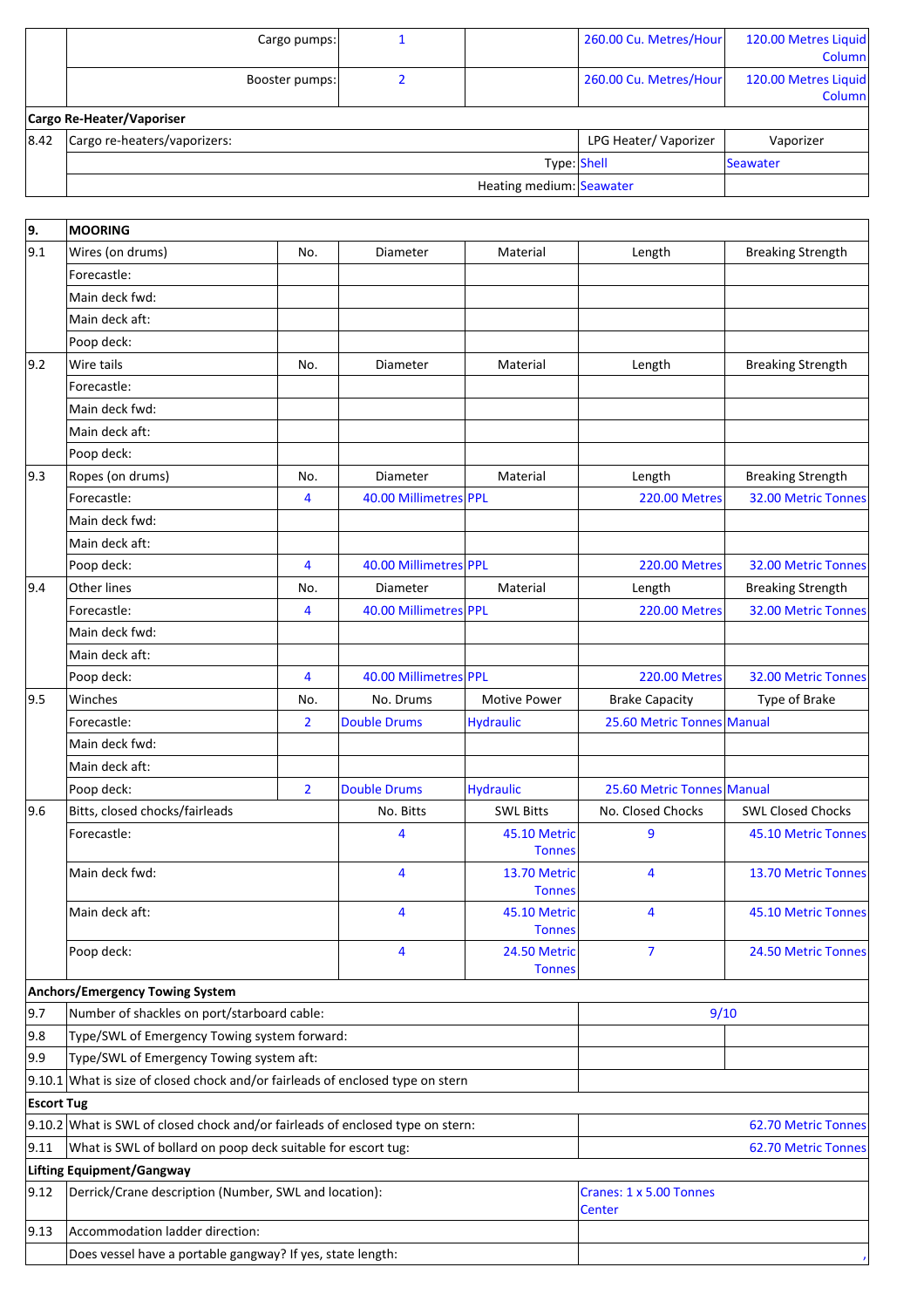|      | Cargo pumps:                 |                          | 260.00 Cu. Metres/Hour | 120.00 Metres Liquid<br>Column |
|------|------------------------------|--------------------------|------------------------|--------------------------------|
|      | Booster pumps:               |                          | 260.00 Cu. Metres/Hour | 120.00 Metres Liquid<br>Column |
|      | Cargo Re-Heater/Vaporiser    |                          |                        |                                |
| 8.42 | Cargo re-heaters/vaporizers: |                          | LPG Heater/Vaporizer   | Vaporizer                      |
|      |                              | Type: Shell              |                        | Seawater                       |
|      |                              | Heating medium: Seawater |                        |                                |

| 9.                        | <b>MOORING</b>                                                                   |                |                       |                                   |                            |                          |
|---------------------------|----------------------------------------------------------------------------------|----------------|-----------------------|-----------------------------------|----------------------------|--------------------------|
| 9.1                       | Wires (on drums)                                                                 | No.            | Diameter              | Material                          | Length                     | <b>Breaking Strength</b> |
|                           | Forecastle:                                                                      |                |                       |                                   |                            |                          |
|                           | Main deck fwd:                                                                   |                |                       |                                   |                            |                          |
|                           | Main deck aft:                                                                   |                |                       |                                   |                            |                          |
|                           | Poop deck:                                                                       |                |                       |                                   |                            |                          |
| 9.2                       | Wire tails                                                                       | No.            | Diameter              | Material                          | Length                     | <b>Breaking Strength</b> |
|                           | Forecastle:                                                                      |                |                       |                                   |                            |                          |
|                           | Main deck fwd:                                                                   |                |                       |                                   |                            |                          |
|                           | Main deck aft:                                                                   |                |                       |                                   |                            |                          |
|                           | Poop deck:                                                                       |                |                       |                                   |                            |                          |
| 9.3                       | Ropes (on drums)                                                                 | No.            | Diameter              | Material                          | Length                     | <b>Breaking Strength</b> |
|                           | Forecastle:                                                                      | $\overline{4}$ | 40.00 Millimetres PPL |                                   | <b>220.00 Metres</b>       | 32.00 Metric Tonnes      |
|                           | Main deck fwd:                                                                   |                |                       |                                   |                            |                          |
|                           | Main deck aft:                                                                   |                |                       |                                   |                            |                          |
|                           | Poop deck:                                                                       | 4              | 40.00 Millimetres PPL |                                   | <b>220.00 Metres</b>       | 32.00 Metric Tonnes      |
| 9.4                       | Other lines                                                                      | No.            | Diameter              | Material                          | Length                     | <b>Breaking Strength</b> |
|                           | Forecastle:                                                                      | 4              | 40.00 Millimetres PPL |                                   | <b>220.00 Metres</b>       | 32.00 Metric Tonnes      |
|                           | Main deck fwd:                                                                   |                |                       |                                   |                            |                          |
|                           | Main deck aft:                                                                   |                |                       |                                   |                            |                          |
|                           | Poop deck:                                                                       | $\overline{4}$ | 40.00 Millimetres PPL |                                   | <b>220.00 Metres</b>       | 32.00 Metric Tonnes      |
| 9.5                       | Winches                                                                          | No.            | No. Drums             | <b>Motive Power</b>               | <b>Brake Capacity</b>      | Type of Brake            |
|                           | Forecastle:                                                                      | $\overline{2}$ | <b>Double Drums</b>   | <b>Hydraulic</b>                  | 25.60 Metric Tonnes Manual |                          |
|                           | Main deck fwd:                                                                   |                |                       |                                   |                            |                          |
|                           | Main deck aft:                                                                   |                |                       |                                   |                            |                          |
|                           | Poop deck:                                                                       | $\overline{2}$ | <b>Double Drums</b>   | <b>Hydraulic</b>                  | 25.60 Metric Tonnes Manual |                          |
| 9.6                       | Bitts, closed chocks/fairleads                                                   |                | No. Bitts             | <b>SWL Bitts</b>                  | No. Closed Chocks          | <b>SWL Closed Chocks</b> |
|                           | Forecastle:                                                                      |                | 4                     | 45.10 Metric                      | 9                          | 45.10 Metric Tonnes      |
|                           |                                                                                  |                |                       | <b>Tonnes</b>                     |                            |                          |
|                           | Main deck fwd:                                                                   |                | 4                     | 13.70 Metric<br><b>Tonnes</b>     | 4                          | 13.70 Metric Tonnes      |
|                           | Main deck aft:                                                                   |                | 4                     | 45.10 Metric<br><b>Tonnes</b>     | 4                          | 45.10 Metric Tonnes      |
|                           | Poop deck:                                                                       |                | 4                     | 24.50 Metric<br><b>Tonnes</b>     | 7                          | 24.50 Metric Tonnes      |
|                           | Anchors/Emergency Towing System                                                  |                |                       |                                   |                            |                          |
| 9.7                       | Number of shackles on port/starboard cable:                                      |                |                       |                                   | 9/10                       |                          |
| 9.8                       | Type/SWL of Emergency Towing system forward:                                     |                |                       |                                   |                            |                          |
| 9.9                       | Type/SWL of Emergency Towing system aft:                                         |                |                       |                                   |                            |                          |
|                           | $9.10.1$ What is size of closed chock and/or fairleads of enclosed type on stern |                |                       |                                   |                            |                          |
| <b>Escort Tug</b>         |                                                                                  |                |                       |                                   |                            |                          |
|                           | 9.10.2 What is SWL of closed chock and/or fairleads of enclosed type on stern:   |                |                       |                                   |                            | 62.70 Metric Tonnes      |
| 9.11                      | What is SWL of bollard on poop deck suitable for escort tug:                     |                |                       |                                   |                            | 62.70 Metric Tonnes      |
| Lifting Equipment/Gangway |                                                                                  |                |                       |                                   |                            |                          |
| $ 9.12\rangle$            | Derrick/Crane description (Number, SWL and location):                            |                |                       | Cranes: 1 x 5.00 Tonnes<br>Center |                            |                          |
| $ 9.13\rangle$            | Accommodation ladder direction:                                                  |                |                       |                                   |                            |                          |
|                           | Does vessel have a portable gangway? If yes, state length:                       |                |                       |                                   |                            |                          |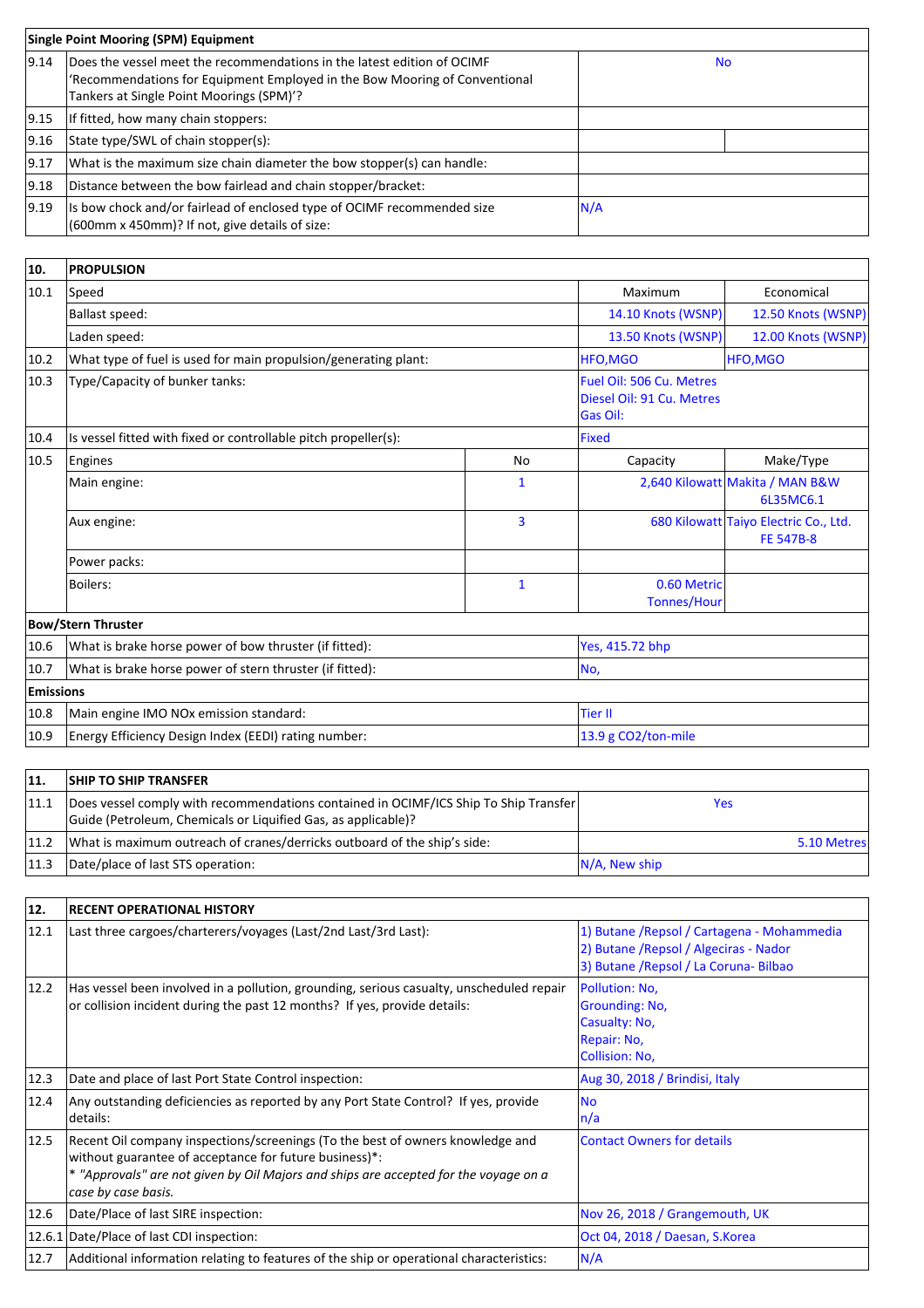| <b>Single Point Mooring (SPM) Equipment</b> |                                                                                                                                                                                                   |      |  |
|---------------------------------------------|---------------------------------------------------------------------------------------------------------------------------------------------------------------------------------------------------|------|--|
| 9.14                                        | Does the vessel meet the recommendations in the latest edition of OCIMF<br>'Recommendations for Equipment Employed in the Bow Mooring of Conventional<br>Tankers at Single Point Moorings (SPM)'? | No.  |  |
| 9.15                                        | If fitted, how many chain stoppers:                                                                                                                                                               |      |  |
| 9.16                                        | State type/SWL of chain stopper(s):                                                                                                                                                               |      |  |
| 9.17                                        | What is the maximum size chain diameter the bow stopper(s) can handle:                                                                                                                            |      |  |
| 9.18                                        | Distance between the bow fairlead and chain stopper/bracket:                                                                                                                                      |      |  |
| $ 9.19\rangle$                              | Is bow chock and/or fairlead of enclosed type of OCIMF recommended size<br>(600mm x 450mm)? If not, give details of size:                                                                         | IN/A |  |

| 10.              | <b>PROPULSION</b>                                               |                                                                          |                                   |                                                           |
|------------------|-----------------------------------------------------------------|--------------------------------------------------------------------------|-----------------------------------|-----------------------------------------------------------|
| 10.1             | Speed                                                           |                                                                          | Maximum                           | Economical                                                |
|                  | Ballast speed:                                                  | 14.10 Knots (WSNP)                                                       | 12.50 Knots (WSNP)                |                                                           |
|                  | Laden speed:                                                    | 13.50 Knots (WSNP)                                                       | 12.00 Knots (WSNP)                |                                                           |
| 10.2             | What type of fuel is used for main propulsion/generating plant: |                                                                          | HFO, MGO                          | <b>HFO.MGO</b>                                            |
| 10.3             | Type/Capacity of bunker tanks:                                  | Fuel Oil: 506 Cu. Metres<br>Diesel Oil: 91 Cu. Metres<br><b>Gas Oil:</b> |                                   |                                                           |
| 10.4             | Is vessel fitted with fixed or controllable pitch propeller(s): | <b>Fixed</b>                                                             |                                   |                                                           |
| 10.5             | Engines                                                         | No                                                                       | Capacity                          | Make/Type                                                 |
|                  | Main engine:                                                    | 1                                                                        |                                   | 2,640 Kilowatt Makita / MAN B&W<br>6L35MC6.1              |
|                  | Aux engine:                                                     | $\overline{3}$                                                           |                                   | 680 Kilowatt Taiyo Electric Co., Ltd.<br><b>FE 547B-8</b> |
|                  | Power packs:                                                    |                                                                          |                                   |                                                           |
|                  | Boilers:                                                        | $\mathbf{1}$                                                             | 0.60 Metric<br><b>Tonnes/Hour</b> |                                                           |
|                  | <b>Bow/Stern Thruster</b>                                       |                                                                          |                                   |                                                           |
| 10.6             | What is brake horse power of bow thruster (if fitted):          | Yes, 415.72 bhp                                                          |                                   |                                                           |
| 10.7             | What is brake horse power of stern thruster (if fitted):        | No,                                                                      |                                   |                                                           |
| <b>Emissions</b> |                                                                 |                                                                          |                                   |                                                           |
| 10.8             | Main engine IMO NO <sub>x</sub> emission standard:              | <b>Tier II</b>                                                           |                                   |                                                           |
| 10.9             | Energy Efficiency Design Index (EEDI) rating number:            | 13.9 g CO2/ton-mile                                                      |                                   |                                                           |

| 11   | <b>SHIP TO SHIP TRANSFER</b>                                                                                                                          |                  |
|------|-------------------------------------------------------------------------------------------------------------------------------------------------------|------------------|
| 11.1 | Does vessel comply with recommendations contained in OCIMF/ICS Ship To Ship Transfer<br>Guide (Petroleum, Chemicals or Liquified Gas, as applicable)? | Yes              |
| 11.2 | What is maximum outreach of cranes/derricks outboard of the ship's side:                                                                              | 5.10 Metres      |
| 11.3 | Date/place of last STS operation:                                                                                                                     | $N/A$ , New ship |

| 12.  | <b>RECENT OPERATIONAL HISTORY</b>                                                                                                                                                                                                                       |                                                                                                                                |
|------|---------------------------------------------------------------------------------------------------------------------------------------------------------------------------------------------------------------------------------------------------------|--------------------------------------------------------------------------------------------------------------------------------|
| 12.1 | Last three cargoes/charterers/voyages (Last/2nd Last/3rd Last):                                                                                                                                                                                         | 1) Butane / Repsol / Cartagena - Mohammedia<br>2) Butane / Repsol / Algeciras - Nador<br>3) Butane / Repsol / La Coruna-Bilbao |
| 12.2 | Has vessel been involved in a pollution, grounding, serious casualty, unscheduled repair<br>or collision incident during the past 12 months? If yes, provide details:                                                                                   | Pollution: No,<br>Grounding: No,<br>Casualty: No,<br>Repair: No,<br><b>Collision: No,</b>                                      |
| 12.3 | Date and place of last Port State Control inspection:                                                                                                                                                                                                   | Aug 30, 2018 / Brindisi, Italy                                                                                                 |
| 12.4 | Any outstanding deficiencies as reported by any Port State Control? If yes, provide<br>details:                                                                                                                                                         | lNo<br>n/a                                                                                                                     |
| 12.5 | Recent Oil company inspections/screenings (To the best of owners knowledge and<br>without guarantee of acceptance for future business)*:<br>* "Approvals" are not given by Oil Majors and ships are accepted for the voyage on a<br>case by case basis. | <b>Contact Owners for details</b>                                                                                              |
| 12.6 | Date/Place of last SIRE inspection:                                                                                                                                                                                                                     | Nov 26, 2018 / Grangemouth, UK                                                                                                 |
|      | 12.6.1 Date/Place of last CDI inspection:                                                                                                                                                                                                               | Oct 04, 2018 / Daesan, S.Korea                                                                                                 |
| 12.7 | Additional information relating to features of the ship or operational characteristics:                                                                                                                                                                 | N/A                                                                                                                            |